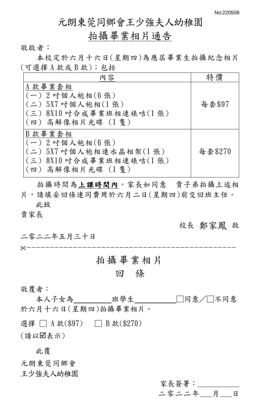## 元朗東莞同鄉會王少強夫人幼稚園

# 拍攝畢業相片通告

敬啟者:

本校定於六月十六日(星期四)為應屆畢業生拍攝紀念相片 (可選擇 A 款或 B 款);包括

| 內容                                                                                                        | 特僧      |
|-----------------------------------------------------------------------------------------------------------|---------|
| A款畢業套相<br>$(-)$ 2 吋個人袍相 $(6 $ 張 $)$<br>(二) 5X7 叶個人袍相(1張)<br>(三) 8X10 吋合成畢業班相連裱咭(1張)<br>(四) 高解像相片光碟 (1隻)   | 每套\$97  |
| B款畢業套相<br>$(-)$ 2 吋個人袍相 $(6 $ 張)<br>(二) 5X7 吋個人袍相連水晶相架(1張)<br>(三) 8X10 吋合成畢業班相連裱咭(1張)<br>(四) 高解像相片光碟 (1隻) | 每套\$270 |

拍攝時間為上課時間內。家長如同意 貴子弟拍攝上述相 片,請填妥回條連同費用於六月二日(星期四)前交回班主任。 此致

貴家長

校長 鄭家鳳 啟

二零二二年五月三十日 ---------------------------------------------

# 拍攝畢業相片

## 回 條

#### 敬覆者:

本人子女為\_\_\_\_班學生\_\_\_\_\_□同意/□不同意 於六月十六日(星期四)拍攝畢業相片。 選擇 □ A 款(\$97) □ B 款(\$270) (請以表示)

此覆

元朗東莞同鄉會 王少強夫人幼稚園

> 家長簽署:\_\_\_\_\_\_\_\_\_\_\_ 二零二二年\_\_\_月\_\_\_日